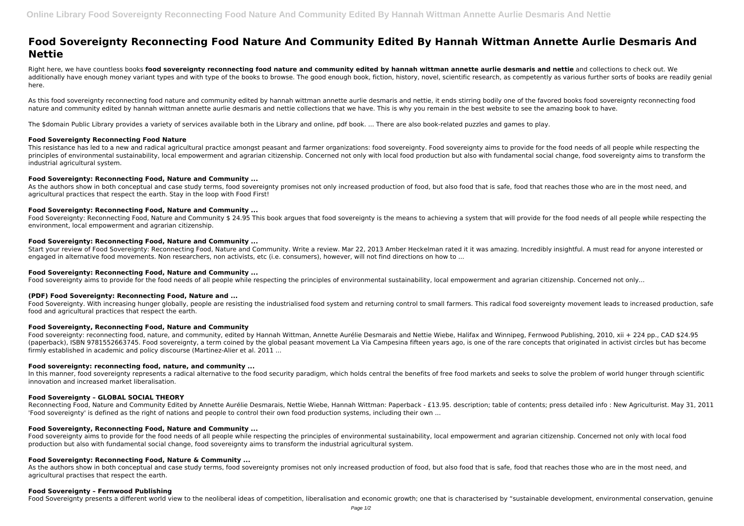# **Food Sovereignty Reconnecting Food Nature And Community Edited By Hannah Wittman Annette Aurlie Desmaris And Nettie**

Right here, we have countless books **food sovereignty reconnecting food nature and community edited by hannah wittman annette aurlie desmaris and nettie** and collections to check out. We additionally have enough money variant types and with type of the books to browse. The good enough book, fiction, history, novel, scientific research, as competently as various further sorts of books are readily genial here.

As this food sovereignty reconnecting food nature and community edited by hannah wittman annette aurlie desmaris and nettie, it ends stirring bodily one of the favored books food sovereignty reconnecting food nature and community edited by hannah wittman annette aurlie desmaris and nettie collections that we have. This is why you remain in the best website to see the amazing book to have.

As the authors show in both conceptual and case study terms, food sovereignty promises not only increased production of food, but also food that is safe, food that reaches those who are in the most need, and agricultural practices that respect the earth. Stay in the loop with Food First!

The \$domain Public Library provides a variety of services available both in the Library and online, pdf book. ... There are also book-related puzzles and games to play.

Food Sovereignty: Reconnecting Food, Nature and Community \$ 24.95 This book argues that food sovereignty is the means to achieving a system that will provide for the food needs of all people while respecting the environment, local empowerment and agrarian citizenship.

# **Food Sovereignty Reconnecting Food Nature**

This resistance has led to a new and radical agricultural practice amongst peasant and farmer organizations: food sovereignty. Food sovereignty aims to provide for the food needs of all people while respecting the principles of environmental sustainability, local empowerment and agrarian citizenship. Concerned not only with local food production but also with fundamental social change, food sovereignty aims to transform the industrial agricultural system.

Food Sovereignty. With increasing hunger globally, people are resisting the industrialised food system and returning control to small farmers. This radical food sovereignty movement leads to increased production, safe food and agricultural practices that respect the earth.

# **Food Sovereignty: Reconnecting Food, Nature and Community ...**

Food sovereignty: reconnecting food, nature, and community, edited by Hannah Wittman, Annette Aurélie Desmarais and Nettie Wiebe, Halifax and Winnipeg, Fernwood Publishing, 2010, xii + 224 pp., CAD \$24.95 (paperback), ISBN 9781552663745. Food sovereignty, a term coined by the global peasant movement La Via Campesina fifteen years ago, is one of the rare concepts that originated in activist circles but has become firmly established in academic and policy discourse (Martinez-Alier et al. 2011 ...

# **Food Sovereignty: Reconnecting Food, Nature and Community ...**

In this manner, food sovereignty represents a radical alternative to the food security paradigm, which holds central the benefits of free food markets and seeks to solve the problem of world hunger through scientific innovation and increased market liberalisation.

# **Food Sovereignty: Reconnecting Food, Nature and Community ...**

Start your review of Food Sovereignty: Reconnecting Food, Nature and Community. Write a review. Mar 22, 2013 Amber Heckelman rated it it was amazing. Incredibly insightful. A must read for anyone interested or engaged in alternative food movements. Non researchers, non activists, etc (i.e. consumers), however, will not find directions on how to ...

As the authors show in both conceptual and case study terms, food sovereignty promises not only increased production of food, but also food that is safe, food that reaches those who are in the most need, and agricultural practises that respect the earth.

# **Food Sovereignty: Reconnecting Food, Nature and Community ...**

Food sovereignty aims to provide for the food needs of all people while respecting the principles of environmental sustainability, local empowerment and agrarian citizenship. Concerned not only...

## **(PDF) Food Sovereignty: Reconnecting Food, Nature and ...**

## **Food Sovereignty, Reconnecting Food, Nature and Community**

## **Food sovereignty: reconnecting food, nature, and community ...**

## **Food Sovereignty – GLOBAL SOCIAL THEORY**

Reconnecting Food, Nature and Community Edited by Annette Aurélie Desmarais, Nettie Wiebe, Hannah Wittman: Paperback - £13.95. description; table of contents; press detailed info : New Agriculturist. May 31, 2011 'Food sovereignty' is defined as the right of nations and people to control their own food production systems, including their own ...

# **Food Sovereignty, Reconnecting Food, Nature and Community ...**

Food sovereignty aims to provide for the food needs of all people while respecting the principles of environmental sustainability, local empowerment and agrarian citizenship. Concerned not only with local food production but also with fundamental social change, food sovereignty aims to transform the industrial agricultural system.

# **Food Sovereignty: Reconnecting Food, Nature & Community ...**

## **Food Sovereignty – Fernwood Publishing**

Food Sovereignty presents a different world view to the neoliberal ideas of competition, liberalisation and economic growth; one that is characterised by "sustainable development, environmental conservation, genuine